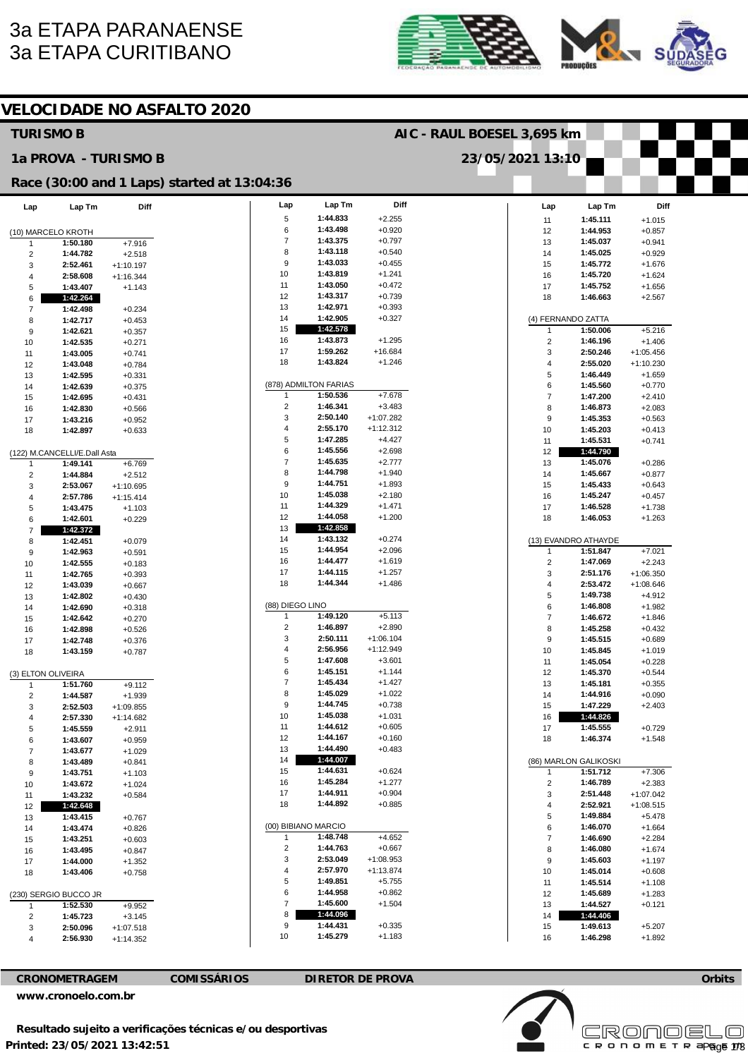# **3a ETAPA PARANAENSE 3a ETAPA CURITIBANO**





| <b>VELOCIDADE NO ASFALTO 2020</b> |                              |                            |                                             |                            |                       |                      |  |                              |                       |                         |  |
|-----------------------------------|------------------------------|----------------------------|---------------------------------------------|----------------------------|-----------------------|----------------------|--|------------------------------|-----------------------|-------------------------|--|
| <b>TURISMO B</b>                  |                              |                            |                                             | AIC - RAUL BOESEL 3,695 km |                       |                      |  |                              |                       |                         |  |
|                                   | 1a PROVA - TURISMO B         |                            |                                             |                            |                       |                      |  | 23/05/2021 13:10             |                       |                         |  |
|                                   |                              |                            | Race (30:00 and 1 Laps) started at 13:04:36 |                            |                       |                      |  |                              |                       |                         |  |
| Lap                               | Lap Tm                       | Diff                       |                                             | Lap                        | Lap Tm                | Diff                 |  | Lap                          | Lap Tm                | Diff                    |  |
|                                   |                              |                            |                                             | 5<br>6                     | 1:44.833<br>1:43.498  | $+2.255$<br>$+0.920$ |  | 11                           | 1:45.111<br>1:44.953  | $+1.015$                |  |
| (10) MARCELO KROTH<br>-1          | 1:50.180                     | $+7.916$                   |                                             | $\overline{7}$             | 1:43.375              | $+0.797$             |  | 12<br>13                     | 1:45.037              | $+0.857$<br>$+0.941$    |  |
| $\overline{c}$                    | 1:44.782                     | $+2.518$                   |                                             | 8                          | 1:43.118              | $+0.540$             |  | 14                           | 1:45.025              | $+0.929$                |  |
| 3                                 | 2:52.461                     | $+1:10.197$                |                                             | 9                          | 1:43.033              | $+0.455$             |  | 15                           | 1:45.772              | $+1.676$                |  |
| $\overline{4}$                    | 2:58.608                     | $+1:16.344$                |                                             | 10                         | 1:43.819              | $+1.241$             |  | 16                           | 1:45.720              | $+1.624$                |  |
| 5                                 | 1:43.407                     | $+1.143$                   |                                             | 11                         | 1:43.050              | $+0.472$             |  | 17                           | 1:45.752              | $+1.656$                |  |
| 6                                 | 1:42.264                     |                            |                                             | 12                         | 1:43.317              | $+0.739$             |  | 18                           | 1:46.663              | $+2.567$                |  |
| $\overline{7}$                    | 1:42.498                     | $+0.234$                   |                                             | 13                         | 1:42.971              | $+0.393$             |  |                              |                       |                         |  |
| 8                                 | 1:42.717                     | $+0.453$                   |                                             | 14                         | 1:42.905<br>1:42.578  | $+0.327$             |  |                              | (4) FERNANDO ZATTA    |                         |  |
| 9                                 | 1:42.621                     | $+0.357$                   |                                             | 15<br>16                   | 1:43.873              | $+1.295$             |  | $\mathbf{1}$                 | 1:50.006              | $+5.216$                |  |
| 10                                | 1:42.535<br>1:43.005         | $+0.271$                   |                                             | 17                         | 1:59.262              | +16.684              |  | $\overline{\mathbf{c}}$<br>3 | 1:46.196<br>2:50.246  | $+1.406$<br>$+1:05.456$ |  |
| 11<br>12                          | 1:43.048                     | $+0.741$<br>$+0.784$       |                                             | 18                         | 1:43.824              | $+1.246$             |  | 4                            | 2:55.020              | $+1:10.230$             |  |
| 13                                | 1:42.595                     | $+0.331$                   |                                             |                            |                       |                      |  | 5                            | 1:46.449              | $+1.659$                |  |
| 14                                | 1:42.639                     | $+0.375$                   |                                             |                            | (878) ADMILTON FARIAS |                      |  | 6                            | 1:45.560              | $+0.770$                |  |
| 15                                | 1:42.695                     | $+0.431$                   |                                             | $\mathbf{1}$               | 1:50.536              | $+7.678$             |  | $\overline{7}$               | 1:47.200              | $+2.410$                |  |
| 16                                | 1:42.830                     | $+0.566$                   |                                             | $\overline{\mathbf{c}}$    | 1:46.341              | $+3.483$             |  | 8                            | 1:46.873              | $+2.083$                |  |
| 17                                | 1:43.216                     | $+0.952$                   |                                             | 3                          | 2:50.140              | $+1:07.282$          |  | 9                            | 1:45.353              | $+0.563$                |  |
| 18                                | 1:42.897                     | $+0.633$                   |                                             | 4                          | 2:55.170              | $+1:12.312$          |  | 10                           | 1:45.203              | $+0.413$                |  |
|                                   |                              |                            |                                             | 5                          | 1:47.285              | $+4.427$             |  | 11                           | 1:45.531              | $+0.741$                |  |
|                                   | (122) M.CANCELLI/E.Dall Asta |                            |                                             | 6                          | 1:45.556<br>1:45.635  | $+2.698$             |  | 12                           | 1:44.790              |                         |  |
| $\overline{1}$                    | 1:49.141                     | $+6.769$                   |                                             | $\overline{7}$<br>8        | 1:44.798              | $+2.777$<br>$+1.940$ |  | 13<br>14                     | 1:45.076<br>1:45.667  | $+0.286$<br>$+0.877$    |  |
| $\overline{2}$<br>3               | 1:44.884<br>2:53.067         | $+2.512$                   |                                             | 9                          | 1:44.751              | $+1.893$             |  | 15                           | 1:45.433              | $+0.643$                |  |
| 4                                 | 2:57.786                     | $+1:10.695$<br>$+1:15.414$ |                                             | 10                         | 1:45.038              | $+2.180$             |  | 16                           | 1:45.247              | $+0.457$                |  |
| 5                                 | 1:43.475                     | $+1.103$                   |                                             | 11                         | 1:44.329              | $+1.471$             |  | 17                           | 1:46.528              | $+1.738$                |  |
| 6                                 | 1:42.601                     | $+0.229$                   |                                             | 12                         | 1:44.058              | $+1.200$             |  | 18                           | 1:46.053              | $+1.263$                |  |
| $\overline{7}$                    | 1:42.372                     |                            |                                             | 13                         | 1:42.858              |                      |  |                              |                       |                         |  |
| 8                                 | 1:42.451                     | $+0.079$                   |                                             | 14                         | 1:43.132              | $+0.274$             |  |                              | (13) EVANDRO ATHAYDE  |                         |  |
| 9                                 | 1:42.963                     | $+0.591$                   |                                             | 15                         | 1:44.954              | $+2.096$             |  | 1                            | 1:51.847              | $+7.021$                |  |
| 10                                | 1:42.555                     | $+0.183$                   |                                             | 16                         | 1:44.477              | $+1.619$             |  | 2                            | 1:47.069              | $+2.243$                |  |
| 11                                | 1:42.765                     | $+0.393$                   |                                             | 17                         | 1:44.115              | $+1.257$             |  | 3                            | 2:51.176              | $+1:06.350$             |  |
| 12                                | 1:43.039                     | $+0.667$                   |                                             | 18                         | 1:44.344              | $+1.486$             |  | 4<br>5                       | 2:53.472<br>1:49.738  | $+1:08.646$             |  |
| 13                                | 1:42.802<br>1:42.690         | $+0.430$                   |                                             | (88) DIEGO LINO            |                       |                      |  | 6                            | 1:46.808              | $+4.912$<br>$+1.982$    |  |
| 14<br>15                          | 1:42.642                     | $+0.318$<br>$+0.270$       |                                             | 1                          | 1:49.120              | $+5.113$             |  | $\overline{7}$               | 1:46.672              | $+1.846$                |  |
| 16                                | 1:42.898                     | $+0.526$                   |                                             | 2                          | 1:46.897              | $+2.890$             |  | 8                            | 1:45.258              | $+0.432$                |  |
| 17                                | 1:42.748                     | $+0.376$                   |                                             | 3                          | 2:50.111              | $+1:06.104$          |  | 9                            | 1:45.515              | $+0.689$                |  |
| 18                                | 1:43.159                     | $+0.787$                   |                                             | 4                          | 2:56.956              | $+1:12.949$          |  | 10                           | 1:45.845              | $+1.019$                |  |
|                                   |                              |                            |                                             | 5                          | 1:47.608              | $+3.601$             |  | -11                          | 1:45.054              | $+0.228$                |  |
| (3) ELTON OLIVEIRA                |                              |                            |                                             | 6                          | 1:45.151              | $+1.144$             |  | 12                           | 1:45.370              | $+0.544$                |  |
| -1                                | 1:51.760                     | $+9.112$                   |                                             | $\overline{7}$             | 1:45.434<br>1:45.029  | $+1.427$             |  | 13                           | 1:45.181              | $+0.355$                |  |
| $\overline{2}$                    | 1:44.587                     | $+1.939$                   |                                             | 8<br>9                     | 1:44.745              | $+1.022$<br>$+0.738$ |  | 14<br>15                     | 1:44.916<br>1:47.229  | $+0.090$<br>$+2.403$    |  |
| 3<br>4                            | 2:52.503<br>2:57.330         | $+1:09.855$<br>$+1:14.682$ |                                             | 10                         | 1:45.038              | $+1.031$             |  | 16                           | 1:44.826              |                         |  |
| 5                                 | 1:45.559                     | $+2.911$                   |                                             | 11                         | 1:44.612              | $+0.605$             |  | 17                           | 1:45.555              | $+0.729$                |  |
| 6                                 | 1:43.607                     | $+0.959$                   |                                             | 12                         | 1:44.167              | $+0.160$             |  | 18                           | 1:46.374              | $+1.548$                |  |
| $\overline{7}$                    | 1:43.677                     | $+1.029$                   |                                             | 13                         | 1:44.490              | $+0.483$             |  |                              |                       |                         |  |
| 8                                 | 1:43.489                     | $+0.841$                   |                                             | 14                         | 1:44.007              |                      |  |                              | (86) MARLON GALIKOSKI |                         |  |
| 9                                 | 1:43.751                     | $+1.103$                   |                                             | 15                         | 1:44.631              | $+0.624$             |  | 1                            | 1:51.712              | $+7.306$                |  |
| 10                                | 1:43.672                     | $+1.024$                   |                                             | 16                         | 1:45.284              | $+1.277$             |  | $\overline{2}$               | 1:46.789              | $+2.383$                |  |
| 11                                | 1:43.232                     | $+0.584$                   |                                             | 17                         | 1:44.911              | $+0.904$             |  | 3                            | 2:51.448              | $+1:07.042$             |  |
| 12                                | 1:42.648                     |                            |                                             | 18                         | 1:44.892              | $+0.885$             |  | 4                            | 2:52.921              | $+1:08.515$             |  |
| 13                                | 1:43.415                     | $+0.767$                   |                                             |                            | (00) BIBIANO MARCIO   |                      |  | 5<br>6                       | 1:49.884<br>1:46.070  | $+5.478$<br>$+1.664$    |  |
| 14<br>15                          | 1:43.474<br>1:43.251         | $+0.826$<br>$+0.603$       |                                             | 1                          | 1:48.748              | $+4.652$             |  | $\overline{7}$               | 1:46.690              | $+2.284$                |  |
| 16                                | 1:43.495                     | $+0.847$                   |                                             | 2                          | 1:44.763              | $+0.667$             |  | 8                            | 1:46.080              | $+1.674$                |  |
| 17                                | 1:44.000                     | $+1.352$                   |                                             | 3                          | 2:53.049              | $+1:08.953$          |  | 9                            | 1:45.603              | $+1.197$                |  |
| 18                                | 1:43.406                     | $+0.758$                   |                                             | 4                          | 2:57.970              | $+1:13.874$          |  | 10                           | 1:45.014              | $+0.608$                |  |
|                                   |                              |                            |                                             | 5                          | 1:49.851              | $+5.755$             |  | 11                           | 1:45.514              | $+1.108$                |  |
|                                   | (230) SERGIO BUCCO JR        |                            |                                             | 6                          | 1:44.958              | $+0.862$             |  | 12                           | 1:45.689              | $+1.283$                |  |
| 1                                 | 1:52.530                     | $+9.952$                   |                                             | $\overline{7}$             | 1:45.600              | $+1.504$             |  | 13                           | 1:44.527              | $+0.121$                |  |
| $\overline{2}$                    | 1:45.723                     | $+3.145$                   |                                             | 8                          | 1:44.096              |                      |  | 14                           | 1:44.406              |                         |  |
| 3                                 | 2:50.096                     | +1:07.518                  |                                             | 9<br>10                    | 1:44.431<br>1:45.279  | $+0.335$<br>$+1.183$ |  | 15                           | 1:49.613              | $+5.207$                |  |
| 4                                 | 2:56.930                     | $+1:14.352$                |                                             |                            |                       |                      |  | 16                           | 1:46.298              | $+1.892$                |  |

### CRONOMETRAGEM

**COMISSÁRIOS** 

**DIRETOR DE PROVA** 

www.cronoelo.com.br

Resultado sujeito a verificações técnicas e/ou desportivas Printed: 23/05/2021 13:42:51



Orbits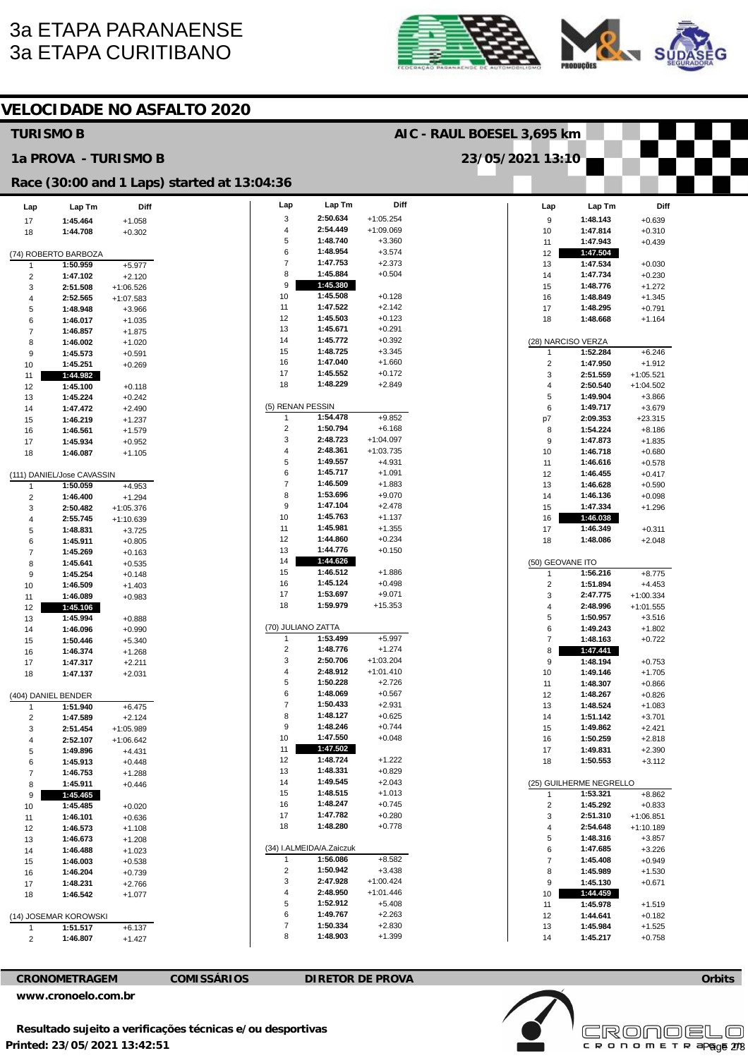# 3a ETAPA PARANAENSE 3a ETAPA CURITIBANO





**Orbits** 

Page 2/3

**Licensed to: Cronoelo** 

|                              |                                 |                         | <b>VELOCIDADE NO ASFALTO 2020</b>           |                            |                          |                         |  |                         |                         |                            |  |
|------------------------------|---------------------------------|-------------------------|---------------------------------------------|----------------------------|--------------------------|-------------------------|--|-------------------------|-------------------------|----------------------------|--|
| <b>TURISMO B</b>             |                                 |                         |                                             | AIC - RAUL BOESEL 3,695 km |                          |                         |  |                         |                         |                            |  |
|                              | 1a PROVA - TURISMO B            |                         |                                             | 23/05/2021 13:10           |                          |                         |  |                         |                         |                            |  |
|                              |                                 |                         | Race (30:00 and 1 Laps) started at 13:04:36 |                            |                          |                         |  |                         |                         |                            |  |
| Lap                          | Lap Tm                          | Diff                    |                                             | Lap                        | Lap Tm                   | Diff                    |  | Lap                     | Lap Tm                  | Diff                       |  |
| 17                           | 1:45.464                        | $+1.058$                |                                             | 3                          | 2:50.634                 | $+1:05.254$             |  | 9                       | 1:48.143                | $+0.639$                   |  |
| 18                           | 1:44.708                        | $+0.302$                |                                             | 4<br>5                     | 2:54.449<br>1:48.740     | $+1:09.069$<br>$+3.360$ |  | 10<br>11                | 1:47.814<br>1:47.943    | $+0.310$<br>$+0.439$       |  |
|                              | (74) ROBERTO BARBOZA            |                         |                                             | 6                          | 1:48.954                 | $+3.574$                |  | 12                      | 1:47.504                |                            |  |
| 1                            | 1:50.959                        | $+5.977$                |                                             | $\overline{7}$             | 1:47.753                 | $+2.373$                |  | 13                      | 1:47.534                | $+0.030$                   |  |
| $\overline{2}$               | 1:47.102                        | $+2.120$                |                                             | 8                          | 1:45.884                 | $+0.504$                |  | 14                      | 1:47.734                | $+0.230$                   |  |
| 3                            | 2:51.508                        | $+1:06.526$             |                                             | 9                          | 1:45.380                 |                         |  | 15                      | 1:48.776                | $+1.272$                   |  |
| 4                            | 2:52.565                        | $+1:07.583$             |                                             | 10<br>11                   | 1:45.508<br>1:47.522     | $+0.128$<br>$+2.142$    |  | 16<br>17                | 1:48.849<br>1:48.295    | $+1.345$                   |  |
| 5<br>6                       | 1:48.948<br>1:46.017            | $+3.966$<br>$+1.035$    |                                             | 12                         | 1:45.503                 | $+0.123$                |  | 18                      | 1:48.668                | $+0.791$<br>$+1.164$       |  |
| $\overline{7}$               | 1:46.857                        | $+1.875$                |                                             | 13                         | 1:45.671                 | $+0.291$                |  |                         |                         |                            |  |
| 8                            | 1:46.002                        | $+1.020$                |                                             | 14                         | 1:45.772                 | $+0.392$                |  |                         | (28) NARCISO VERZA      |                            |  |
| 9                            | 1:45.573                        | $+0.591$                |                                             | 15                         | 1:48.725                 | $+3.345$                |  | 1                       | 1:52.284                | $+6.246$                   |  |
| 10                           | 1:45.251                        | $+0.269$                |                                             | 16                         | 1:47.040                 | $+1.660$                |  | $\overline{\mathbf{c}}$ | 1:47.950                | $+1.912$                   |  |
| 11                           | 1:44.982                        |                         |                                             | 17<br>18                   | 1:45.552<br>1:48.229     | $+0.172$<br>$+2.849$    |  | 3                       | 2:51.559                | $+1:05.521$                |  |
| 12                           | 1:45.100                        | $+0.118$                |                                             |                            |                          |                         |  | 4<br>5                  | 2:50.540<br>1:49.904    | $+1:04.502$<br>$+3.866$    |  |
| 13<br>14                     | 1:45.224<br>1:47.472            | $+0.242$<br>$+2.490$    |                                             | (5) RENAN PESSIN           |                          |                         |  | 6                       | 1:49.717                | $+3.679$                   |  |
| 15                           | 1:46.219                        | $+1.237$                |                                             | $\mathbf{1}$               | 1:54.478                 | $+9.852$                |  | p7                      | 2:09.353                | $+23.315$                  |  |
| 16                           | 1:46.561                        | $+1.579$                |                                             | $\overline{2}$             | 1:50.794                 | $+6.168$                |  | 8                       | 1:54.224                | $+8.186$                   |  |
| 17                           | 1:45.934                        | $+0.952$                |                                             | 3                          | 2:48.723                 | $+1:04.097$             |  | 9                       | 1:47.873                | $+1.835$                   |  |
| 18                           | 1:46.087                        | $+1.105$                |                                             | 4                          | 2:48.361                 | $+1:03.735$             |  | 10                      | 1:46.718                | $+0.680$                   |  |
|                              |                                 |                         |                                             | 5                          | 1:49.557                 | $+4.931$                |  | 11                      | 1:46.616                | $+0.578$                   |  |
|                              | (111) DANIEL/Jose CAVASSIN      |                         |                                             | 6<br>$\overline{7}$        | 1:45.717<br>1:46.509     | $+1.091$<br>$+1.883$    |  | 12                      | 1:46.455<br>1:46.628    | $+0.417$                   |  |
| 1                            | 1:50.059                        | $+4.953$                |                                             | 8                          | 1:53.696                 | $+9.070$                |  | 13<br>14                | 1:46.136                | $+0.590$<br>$+0.098$       |  |
| $\overline{\mathbf{c}}$<br>3 | 1:46.400<br>2:50.482            | $+1.294$<br>$+1:05.376$ |                                             | 9                          | 1:47.104                 | $+2.478$                |  | 15                      | 1:47.334                | $+1.296$                   |  |
| 4                            | 2:55.745                        | $+1:10.639$             |                                             | 10                         | 1:45.763                 | $+1.137$                |  | 16                      | 1:46.038                |                            |  |
| 5                            | 1:48.831                        | $+3.725$                |                                             | 11                         | 1:45.981                 | $+1.355$                |  | 17                      | 1:46.349                | $+0.311$                   |  |
| 6                            | 1:45.911                        | $+0.805$                |                                             | 12                         | 1:44.860                 | $+0.234$                |  | 18                      | 1:48.086                | $+2.048$                   |  |
| 7                            | 1:45.269                        | $+0.163$                |                                             | 13                         | 1:44.776                 | $+0.150$                |  |                         |                         |                            |  |
| 8                            | 1:45.641                        | $+0.535$                |                                             | 14                         | 1:44.626                 |                         |  | (50) GEOVANE ITO        |                         |                            |  |
| 9                            | 1:45.254                        | $+0.148$                |                                             | 15                         | 1:46.512                 | $+1.886$                |  | $\mathbf{1}$            | 1:56.216                | $+8.775$                   |  |
| 10                           | 1:46.509                        | $+1.403$                |                                             | 16<br>17                   | 1:45.124<br>1:53.697     | $+0.498$<br>$+9.071$    |  | 2<br>3                  | 1:51.894                | $+4.453$                   |  |
| 11<br>12                     | 1:46.089<br>1:45.106            | $+0.983$                |                                             | 18                         | 1:59.979                 | $+15.353$               |  | $\overline{4}$          | 2:47.775<br>2:48.996    | $+1:00.334$<br>$+1:01.555$ |  |
| 13                           | 1:45.994                        | $+0.888$                |                                             |                            |                          |                         |  | 5                       | 1:50.957                | $+3.516$                   |  |
| 14                           | 1:46.096                        | $+0.990$                |                                             |                            | (70) JULIANO ZATTA       |                         |  | 6                       | 1:49.243                | $+1.802$                   |  |
| 15                           | 1:50.446                        | $+5.340$                |                                             | -1                         | 1:53.499                 | $+5.997$                |  | $\overline{7}$          | 1:48.163                | $+0.722$                   |  |
| 16                           | 1:46.374                        | $+1.268$                |                                             | 2                          | 1:48.776                 | $+1.274$                |  | 8                       | 1:47.441                |                            |  |
| 17                           | 1:47.317                        | +2.211                  |                                             | 3                          | 2:50.706                 | $+1:03.204$             |  | Y                       | 1:48.194                | $+0.753$                   |  |
| 18                           | 1:47.137                        | $+2.031$                |                                             | 4<br>5                     | 2:48.912<br>1:50.228     | $+1:01.410$<br>$+2.726$ |  | 10                      | 1:49.146<br>1:48.307    | $+1.705$                   |  |
|                              |                                 |                         |                                             | 6                          | 1:48.069                 | $+0.567$                |  | 11<br>12                | 1:48.267                | $+0.866$<br>$+0.826$       |  |
| 1                            | (404) DANIEL BENDER<br>1:51.940 | $+6.475$                |                                             | $\overline{7}$             | 1:50.433                 | $+2.931$                |  | 13                      | 1:48.524                | $+1.083$                   |  |
| 2                            | 1:47.589                        | $+2.124$                |                                             | 8                          | 1:48.127                 | $+0.625$                |  | 14                      | 1:51.142                | $+3.701$                   |  |
| 3                            | 2:51.454                        | $+1:05.989$             |                                             | 9                          | 1:48.246                 | $+0.744$                |  | 15                      | 1:49.862                | $+2.421$                   |  |
| 4                            | 2:52.107                        | $+1:06.642$             |                                             | 10                         | 1:47.550                 | $+0.048$                |  | 16                      | 1:50.259                | $+2.818$                   |  |
| 5                            | 1:49.896                        | $+4.431$                |                                             | 11                         | 1:47.502                 |                         |  | 17                      | 1:49.831                | $+2.390$                   |  |
| 6                            | 1:45.913                        | $+0.448$                |                                             | 12                         | 1:48.724<br>1:48.331     | $+1.222$                |  | 18                      | 1:50.553                | $+3.112$                   |  |
| $\overline{7}$               | 1:46.753                        | $+1.288$                |                                             | 13<br>14                   | 1:49.545                 | $+0.829$<br>$+2.043$    |  |                         | (25) GUILHERME NEGRELLO |                            |  |
| 8                            | 1:45.911<br>1:45.465            | $+0.446$                |                                             | 15                         | 1:48.515                 | $+1.013$                |  | 1                       | 1:53.321                | $+8.862$                   |  |
| 9<br>10                      | 1:45.485                        | $+0.020$                |                                             | 16                         | 1:48.247                 | $+0.745$                |  | $\overline{c}$          | 1:45.292                | $+0.833$                   |  |
| 11                           | 1:46.101                        | $+0.636$                |                                             | 17                         | 1:47.782                 | $+0.280$                |  | 3                       | 2:51.310                | $+1:06.851$                |  |
| 12                           | 1:46.573                        | $+1.108$                |                                             | 18                         | 1:48.280                 | $+0.778$                |  | 4                       | 2:54.648                | $+1:10.189$                |  |
| 13                           | 1:46.673                        | $+1.208$                |                                             |                            |                          |                         |  | 5                       | 1:48.316                | $+3.857$                   |  |
| 14                           | 1:46.488                        | $+1.023$                |                                             |                            | (34) I.ALMEIDA/A.Zaiczuk |                         |  | 6                       | 1:47.685                | $+3.226$                   |  |
| 15                           | 1:46.003                        | $+0.538$                |                                             | $\mathbf{1}$               | 1:56.086                 | $+8.582$                |  | $\overline{7}$          | 1:45.408                | $+0.949$                   |  |
| 16                           | 1:46.204                        | $+0.739$                |                                             | $\overline{2}$<br>3        | 1:50.942<br>2:47.928     | $+3.438$<br>$+1:00.424$ |  | 8                       | 1:45.989                | $+1.530$                   |  |
| 17                           | 1:48.231                        | $+2.766$                |                                             | 4                          | 2:48.950                 | $+1:01.446$             |  | 9<br>10                 | 1:45.130<br>1:44.459    | $+0.671$                   |  |
| 18                           | 1:46.542                        | $+1.077$                |                                             | 5                          | 1:52.912                 | $+5.408$                |  | 11                      | 1:45.978                | $+1.519$                   |  |
|                              | (14) JOSEMAR KOROWSKI           |                         |                                             | 6                          | 1:49.767                 | $+2.263$                |  | 12                      | 1:44.641                | $+0.182$                   |  |
| $\mathbf{1}$                 | 1:51.517                        | $+6.137$                |                                             | $\overline{7}$             | 1:50.334                 | $+2.830$                |  | 13                      | 1:45.984                | $+1.525$                   |  |
| 2                            | 1:46.807                        | $+1.427$                |                                             | 8                          | 1:48.903                 | $+1.399$                |  | 14                      | 1:45.217                | $+0.758$                   |  |
|                              |                                 |                         |                                             |                            |                          |                         |  |                         |                         |                            |  |

**CRONOMETRAGEM COMISSÁRIOS DIRETOR DE PROVA** 

**[www.cronoelo.com.br](http://www.cronoelo.com.br)** 

**Printed: 23/05/2021 13:42:51 Resultado sujeito a verificações técnicas e/ou desportivas**